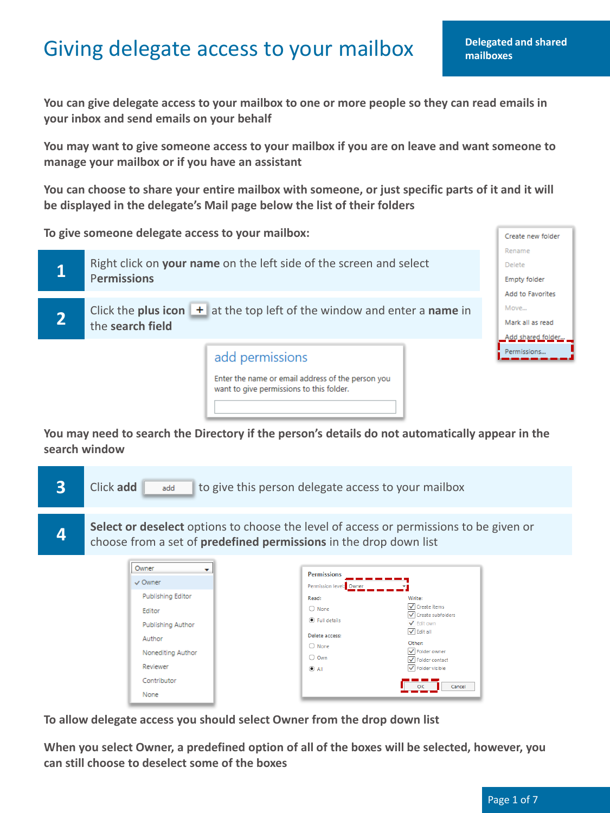## Giving delegate access to your mailbox **Delegated**

**Delegated and shared** 

Create new folder

**You can give delegate access to your mailbox to one or more people so they can read emails in your inbox and send emails on your behalf** 

**You may want to give someone access to your mailbox if you are on leave and want someone to manage your mailbox or if you have an assistant** 

**You can choose to share your entire mailbox with someone, or just specific parts of it and it will be displayed in the delegate's Mail page below the list of their folders** 

**To give someone delegate access to your mailbox:** 



**You may need to search the Directory if the person's details do not automatically appear in the search window** 

| 3<br><b>Click add</b> | add                                                                                                                                                | to give this person delegate access to your mailbox                                                                                                                                                                                                                                                                            |        |
|-----------------------|----------------------------------------------------------------------------------------------------------------------------------------------------|--------------------------------------------------------------------------------------------------------------------------------------------------------------------------------------------------------------------------------------------------------------------------------------------------------------------------------|--------|
|                       |                                                                                                                                                    | Select or deselect options to choose the level of access or permissions to be given or<br>choose from a set of <b>predefined permissions</b> in the drop down list                                                                                                                                                             |        |
|                       | Owner<br>$\vee$ Owner<br>Publishing Editor<br>Editor<br><b>Publishing Author</b><br>Author<br>Nonediting Author<br>Reviewer<br>Contributor<br>None | <b>Permissions</b><br>Permission level: Owner<br>Read:<br>Write:<br>√ Create items<br>$\bigcirc$ None<br>√ Create subfolders<br>◉ Full details<br>✔ Edit own<br>$\sqrt{\ }$ Edit all<br>Delete access:<br>Other:<br>$\bigcirc$ None<br>✔ Folder owner<br>$\bigcirc$ Own<br>✔ Folder contact<br>V Folder visible<br>$\odot$ All | Cancel |

**To allow delegate access you should select Owner from the drop down list**

**When you select Owner, a predefined option of all of the boxes will be selected, however, you can still choose to deselect some of the boxes**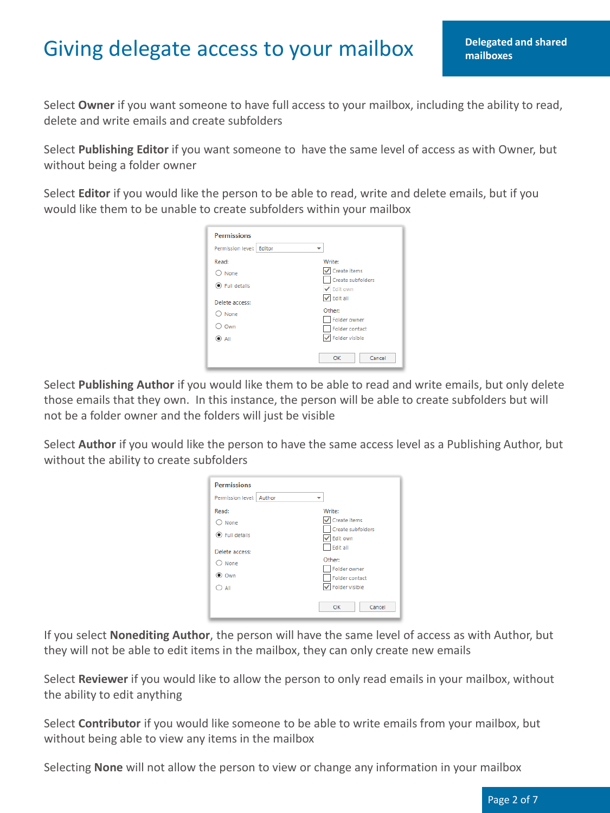## Giving delegate access to your mailbox **Pelegated and shared**

Select **Owner** if you want someone to have full access to your mailbox, including the ability to read, delete and write emails and create subfolders

Select **Publishing Editor** if you want someone to have the same level of access as with Owner, but without being a folder owner

Select **Editor** if you would like the person to be able to read, write and delete emails, but if you would like them to be unable to create subfolders within your mailbox

| <b>Permissions</b>             |                                     |  |  |  |
|--------------------------------|-------------------------------------|--|--|--|
| Permission level:<br>Editor    |                                     |  |  |  |
| Read:                          | Write:                              |  |  |  |
| None                           | √ Create items<br>Create subfolders |  |  |  |
| <b>Full details</b><br>$\odot$ | ✔ Edit own                          |  |  |  |
| Delete access:                 | $\sqrt{}$ Edit all                  |  |  |  |
| None                           | Other:                              |  |  |  |
| Own                            | Folder owner<br>Folder contact      |  |  |  |
| (O) All                        | Folder visible                      |  |  |  |
|                                | OK<br>Cancel                        |  |  |  |

Select **Publishing Author** if you would like them to be able to read and write emails, but only delete those emails that they own. In this instance, the person will be able to create subfolders but will not be a folder owner and the folders will just be visible

Select **Author** if you would like the person to have the same access level as a Publishing Author, but without the ability to create subfolders

| <b>Permissions</b>                              |                                                                              |
|-------------------------------------------------|------------------------------------------------------------------------------|
| Permission level:<br>Author                     |                                                                              |
| Read:<br>None<br><b>Full details</b><br>$\odot$ | Write:<br>Create items<br>Create subfolders<br>$\sqrt{\phantom{a}}$ Edit own |
| Delete access:<br>None<br>◉ Own<br>All          | Edit all<br>Other:<br>Folder owner<br>Folder contact<br>Folder visible       |
|                                                 | Cancel<br>OK                                                                 |

If you select **Nonediting Author**, the person will have the same level of access as with Author, but they will not be able to edit items in the mailbox, they can only create new emails

Select **Reviewer** if you would like to allow the person to only read emails in your mailbox, without the ability to edit anything

Select **Contributor** if you would like someone to be able to write emails from your mailbox, but without being able to view any items in the mailbox

Selecting **None** will not allow the person to view or change any information in your mailbox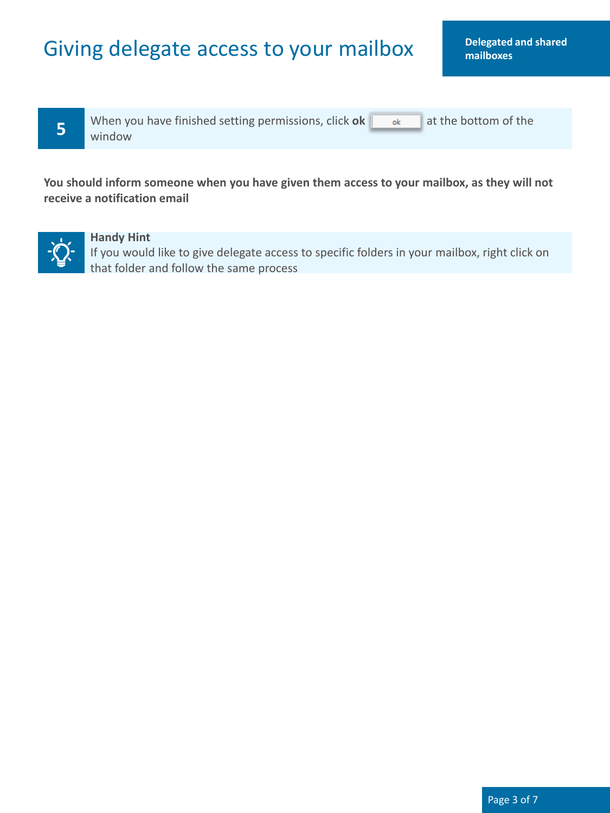## Giving delegate access to your mailbox **Delegated and shared**

**5** When you have finished setting permissions, click **ok at the bottom of the window** window

**You should inform someone when you have given them access to your mailbox, as they will not receive a notification email** 



#### **Handy Hint**

If you would like to give delegate access to specific folders in your mailbox, right click on that folder and follow the same process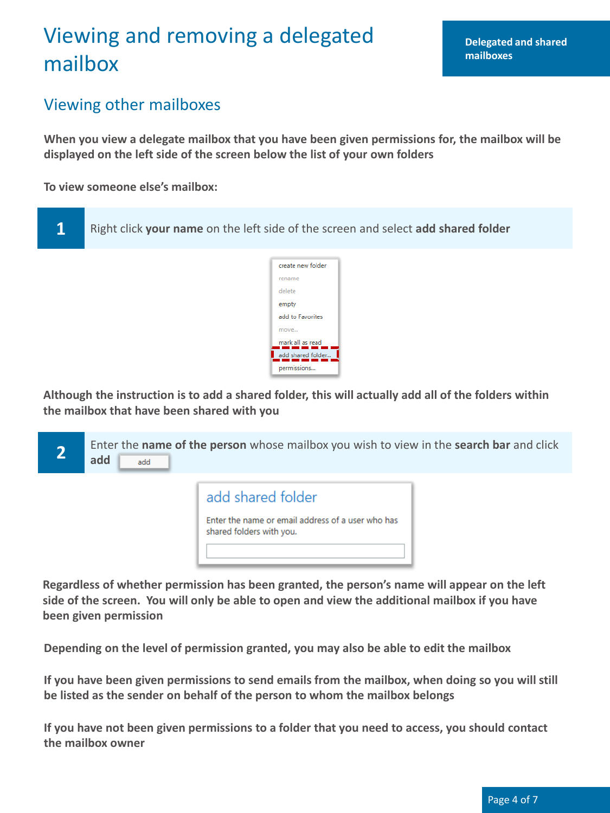# Viewing and removing a delegated **Delegated** and shared mailbox

#### Viewing other mailboxes

**When you view a delegate mailbox that you have been given permissions for, the mailbox will be displayed on the left side of the screen below the list of your own folders** 

**To view someone else's mailbox:** 



**Although the instruction is to add a shared folder, this will actually add all of the folders within the mailbox that have been shared with you** 



**Regardless of whether permission has been granted, the person's name will appear on the left side of the screen. You will only be able to open and view the additional mailbox if you have been given permission** 

**Depending on the level of permission granted, you may also be able to edit the mailbox** 

**If you have been given permissions to send emails from the mailbox, when doing so you will still be listed as the sender on behalf of the person to whom the mailbox belongs** 

**If you have not been given permissions to a folder that you need to access, you should contact the mailbox owner**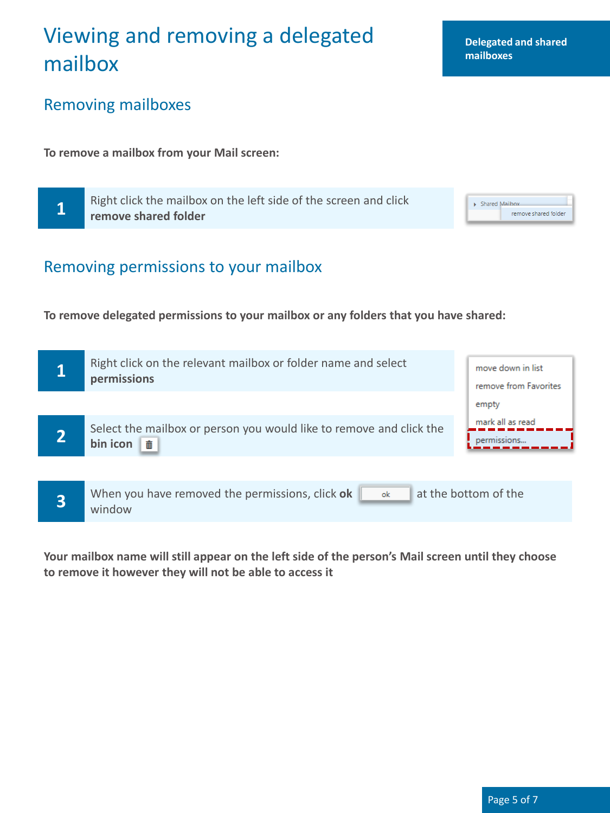## Viewing and removing a delegated **Delegated** and shared mailbox

## Removing mailboxes

**To remove a mailbox from your Mail screen:** 

**1 Right click the mailbox on the left side of the screen and click**<br>**1 Example 2 charged folder remove shared folder** 

#### Removing permissions to your mailbox

**To remove delegated permissions to your mailbox or any folders that you have shared:** 

|                         | Right click on the relevant mailbox or folder name and select<br>permissions                   | move down in list<br>remove from Favorites |
|-------------------------|------------------------------------------------------------------------------------------------|--------------------------------------------|
|                         |                                                                                                | empty                                      |
|                         | Select the mailbox or person you would like to remove and click the<br>bin icon $\overline{m}$ | mark all as read<br>permissions            |
|                         |                                                                                                |                                            |
| $\overline{\mathbf{3}}$ | When you have removed the permissions, click ok<br>ok<br>window                                | at the bottom of the                       |

**Your mailbox name will still appear on the left side of the person's Mail screen until they choose to remove it however they will not be able to access it** 

**mailboxes** 

 $\triangleright$  Shared Mailbox

remove shared folder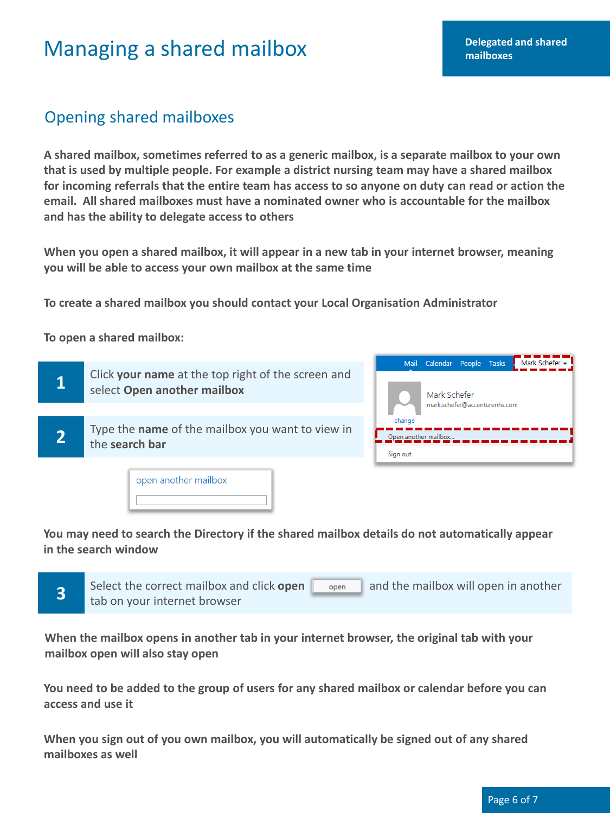## **Managing a shared mailbox mailbox mailbox mailboxes**

## Opening shared mailboxes

**A shared mailbox, sometimes referred to as a generic mailbox, is a separate mailbox to your own that is used by multiple people. For example a district nursing team may have a shared mailbox for incoming referrals that the entire team has access to so anyone on duty can read or action the email. All shared mailboxes must have a nominated owner who is accountable for the mailbox and has the ability to delegate access to others** 

**When you open a shared mailbox, it will appear in a new tab in your internet browser, meaning you will be able to access your own mailbox at the same time** 

**To create a shared mailbox you should contact your Local Organisation Administrator** 

**To open a shared mailbox:** 



**You may need to search the Directory if the shared mailbox details do not automatically appear in the search window** 



**When the mailbox opens in another tab in your internet browser, the original tab with your mailbox open will also stay open** 

**You need to be added to the group of users for any shared mailbox or calendar before you can access and use it** 

**When you sign out of you own mailbox, you will automatically be signed out of any shared mailboxes as well**